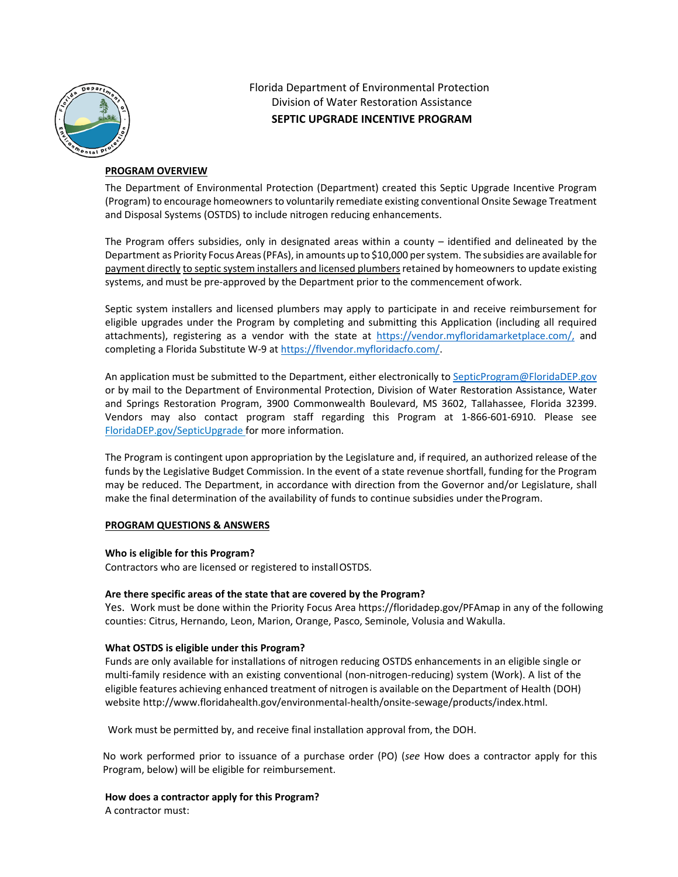

Florida Department of Environmental Protection Division of Water Restoration Assistance **SEPTIC UPGRADE INCENTIVE PROGRAM**

### **PROGRAM OVERVIEW**

The Department of Environmental Protection (Department) created this Septic Upgrade Incentive Program (Program) to encourage homeowners to voluntarily remediate existing conventional Onsite Sewage Treatment and Disposal Systems (OSTDS) to include nitrogen reducing enhancements.

The Program offers subsidies, only in designated areas within a county  $-$  identified and delineated by the Department as Priority Focus Areas (PFAs), in amounts up to \$10,000 per system. The subsidies are available for payment directly to septic system installers and licensed plumbers retained by homeowners to update existing systems, and must be pre‐approved by the Department prior to the commencement of work.

Septic system installers and licensed plumbers may apply to participate in and receive reimbursement for eligible upgrades under the Program by completing and submitting this Application (including all required attachments), registering as a vendor with the state at https://vendor.myfloridamarketplace.com/, and completing a Florida Substitute W‐9 at https://flvendor.myfloridacfo.com/.

An application must be submitted to the Department, either electronically to SepticProgram@FloridaDEP.gov or by mail to the Department of Environmental Protection, Division of Water Restoration Assistance, Water and Springs Restoration Program, 3900 Commonwealth Boulevard, MS 3602, Tallahassee, Florida 32399. Vendors may also contact program staff regarding this Program at 1‐866‐601‐6910. Please see FloridaDEP.gov/SepticUpgrade for more information.

The Program is contingent upon appropriation by the Legislature and, if required, an authorized release of the funds by the Legislative Budget Commission. In the event of a state revenue shortfall, funding for the Program may be reduced. The Department, in accordance with direction from the Governor and/or Legislature, shall make the final determination of the availability of funds to continue subsidies under the Program.

# **PROGRAM QUESTIONS & ANSWERS**

### **Who is eligible for this Program?**

Contractors who are licensed or registered to install OSTDS.

# **Are there specific areas of the state that are covered by the Program?**

Yes. Work must be done within the Priority Focus Area https://floridadep.gov/PFAmap in any of the following counties: Citrus, Hernando, Leon, Marion, Orange, Pasco, Seminole, Volusia and Wakulla.

### **What OSTDS is eligible under this Program?**

Funds are only available for installations of nitrogen reducing OSTDS enhancements in an eligible single or multi-family residence with an existing conventional (non-nitrogen-reducing) system (Work). A list of the eligible features achieving enhanced treatment of nitrogen is available on the Department of Health (DOH) website http://www.floridahealth.gov/environmental‐health/onsite‐sewage/products/index.html.

Work must be permitted by, and receive final installation approval from, the DOH.

No work performed prior to issuance of a purchase order (PO) (*see* How does a contractor apply for this Program, below) will be eligible for reimbursement.

**How does a contractor apply for this Program?**  A contractor must: